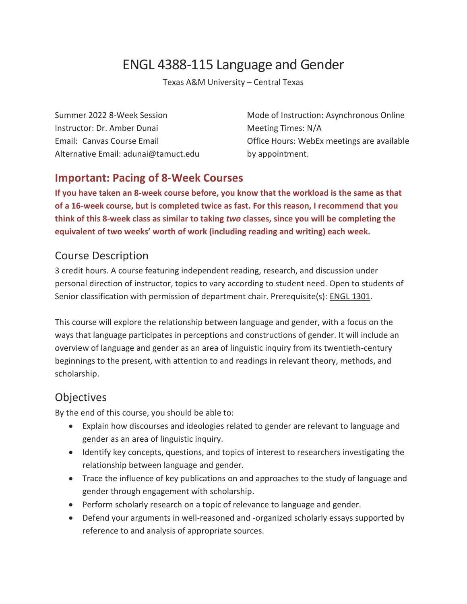# ENGL 4388-115 Language and Gender

Texas A&M University – Central Texas

Instructor: Dr. Amber Dunai Meeting Times: N/A Alternative Email: adunai@tamuct.edu by appointment.

Summer 2022 8-Week Session Mode of Instruction: Asynchronous Online Email: Canvas Course Email Office Hours: WebEx meetings are available

### **Important: Pacing of 8-Week Courses**

**If you have taken an 8-week course before, you know that the workload is the same as that of a 16-week course, but is completed twice as fast. For this reason, I recommend that you think of this 8-week class as similar to taking** *two* **classes, since you will be completing the equivalent of two weeks' worth of work (including reading and writing) each week.** 

### Course Description

3 credit hours. A course featuring independent reading, research, and discussion under personal direction of instructor, topics to vary according to student need. Open to students of Senior classification with permission of department chair. Prerequisite(s): ENGL [1301.](http://catalog.tamuct.edu/search/?P=ENGL%201301)

This course will explore the relationship between language and gender, with a focus on the ways that language participates in perceptions and constructions of gender. It will include an overview of language and gender as an area of linguistic inquiry from its twentieth-century beginnings to the present, with attention to and readings in relevant theory, methods, and scholarship.

### **Objectives**

By the end of this course, you should be able to:

- Explain how discourses and ideologies related to gender are relevant to language and gender as an area of linguistic inquiry.
- Identify key concepts, questions, and topics of interest to researchers investigating the relationship between language and gender.
- Trace the influence of key publications on and approaches to the study of language and gender through engagement with scholarship.
- Perform scholarly research on a topic of relevance to language and gender.
- Defend your arguments in well-reasoned and -organized scholarly essays supported by reference to and analysis of appropriate sources.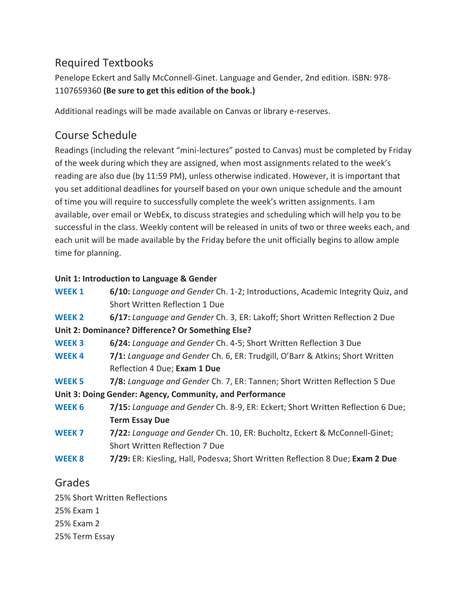## Required Textbooks

Penelope Eckert and Sally McConnell-Ginet. Language and Gender, 2nd edition. ISBN: 978- 1107659360 **(Be sure to get this edition of the book.)**

Additional readings will be made available on Canvas or library e-reserves.

## Course Schedule

Readings (including the relevant "mini-lectures" posted to Canvas) must be completed by Friday of the week during which they are assigned, when most assignments related to the week's reading are also due (by 11:59 PM), unless otherwise indicated. However, it is important that you set additional deadlines for yourself based on your own unique schedule and the amount of time you will require to successfully complete the week's written assignments. I am available, over email or WebEx, to discuss strategies and scheduling which will help you to be successful in the class. Weekly content will be released in units of two or three weeks each, and each unit will be made available by the Friday before the unit officially begins to allow ample time for planning.

#### **Unit 1: Introduction to Language & Gender**

| <b>WEEK1</b>                                             | 6/10: Language and Gender Ch. 1-2; Introductions, Academic Integrity Quiz, and |
|----------------------------------------------------------|--------------------------------------------------------------------------------|
|                                                          | Short Written Reflection 1 Due                                                 |
| WEEK <sub>2</sub>                                        | 6/17: Language and Gender Ch. 3, ER: Lakoff; Short Written Reflection 2 Due    |
| Unit 2: Dominance? Difference? Or Something Else?        |                                                                                |
| <b>WEEK3</b>                                             | 6/24: Language and Gender Ch. 4-5; Short Written Reflection 3 Due              |
| <b>WEEK4</b>                                             | 7/1: Language and Gender Ch. 6, ER: Trudgill, O'Barr & Atkins; Short Written   |
|                                                          | Reflection 4 Due; Exam 1 Due                                                   |
| <b>WEEK 5</b>                                            | 7/8: Language and Gender Ch. 7, ER: Tannen; Short Written Reflection 5 Due     |
| Unit 3: Doing Gender: Agency, Community, and Performance |                                                                                |
| <b>WEEK 6</b>                                            | 7/15: Language and Gender Ch. 8-9, ER: Eckert; Short Written Reflection 6 Due; |
|                                                          | <b>Term Essay Due</b>                                                          |
| WEEK <sub>7</sub>                                        | 7/22: Language and Gender Ch. 10, ER: Bucholtz, Eckert & McConnell-Ginet;      |
|                                                          | Short Written Reflection 7 Due                                                 |
| WEEK 8                                                   | 7/29: ER: Kiesling, Hall, Podesva; Short Written Reflection 8 Due; Exam 2 Due  |
| $\sim$ $\sim$ $\sim$                                     |                                                                                |

### Grades

25% Short Written Reflections 25% Exam 1

25% Exam 2

25% Term Essay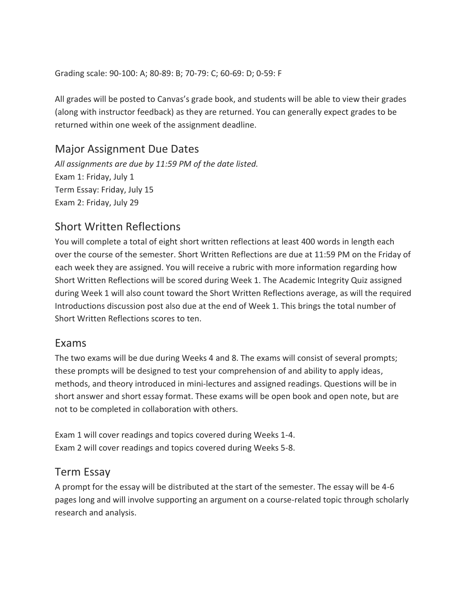Grading scale: 90-100: A; 80-89: B; 70-79: C; 60-69: D; 0-59: F

All grades will be posted to Canvas's grade book, and students will be able to view their grades (along with instructor feedback) as they are returned. You can generally expect grades to be returned within one week of the assignment deadline.

#### Major Assignment Due Dates

*All assignments are due by 11:59 PM of the date listed.* Exam 1: Friday, July 1 Term Essay: Friday, July 15 Exam 2: Friday, July 29

### Short Written Reflections

You will complete a total of eight short written reflections at least 400 words in length each over the course of the semester. Short Written Reflections are due at 11:59 PM on the Friday of each week they are assigned. You will receive a rubric with more information regarding how Short Written Reflections will be scored during Week 1. The Academic Integrity Quiz assigned during Week 1 will also count toward the Short Written Reflections average, as will the required Introductions discussion post also due at the end of Week 1. This brings the total number of Short Written Reflections scores to ten.

#### Exams

The two exams will be due during Weeks 4 and 8. The exams will consist of several prompts; these prompts will be designed to test your comprehension of and ability to apply ideas, methods, and theory introduced in mini-lectures and assigned readings. Questions will be in short answer and short essay format. These exams will be open book and open note, but are not to be completed in collaboration with others.

Exam 1 will cover readings and topics covered during Weeks 1-4. Exam 2 will cover readings and topics covered during Weeks 5-8.

#### Term Essay

A prompt for the essay will be distributed at the start of the semester. The essay will be 4-6 pages long and will involve supporting an argument on a course-related topic through scholarly research and analysis.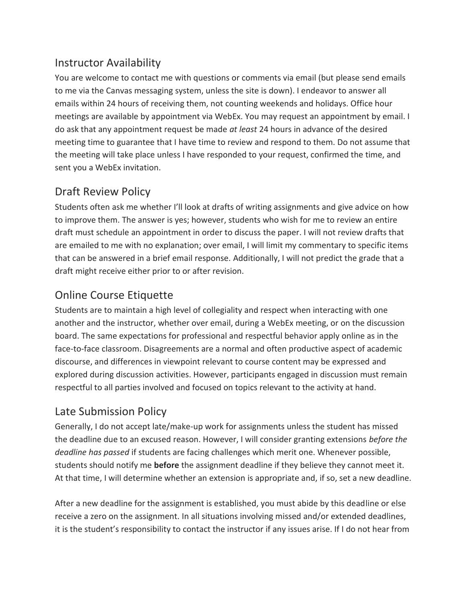## Instructor Availability

You are welcome to contact me with questions or comments via email (but please send emails to me via the Canvas messaging system, unless the site is down). I endeavor to answer all emails within 24 hours of receiving them, not counting weekends and holidays. Office hour meetings are available by appointment via WebEx. You may request an appointment by email. I do ask that any appointment request be made *at least* 24 hours in advance of the desired meeting time to guarantee that I have time to review and respond to them. Do not assume that the meeting will take place unless I have responded to your request, confirmed the time, and sent you a WebEx invitation.

## Draft Review Policy

Students often ask me whether I'll look at drafts of writing assignments and give advice on how to improve them. The answer is yes; however, students who wish for me to review an entire draft must schedule an appointment in order to discuss the paper. I will not review drafts that are emailed to me with no explanation; over email, I will limit my commentary to specific items that can be answered in a brief email response. Additionally, I will not predict the grade that a draft might receive either prior to or after revision.

## Online Course Etiquette

Students are to maintain a high level of collegiality and respect when interacting with one another and the instructor, whether over email, during a WebEx meeting, or on the discussion board. The same expectations for professional and respectful behavior apply online as in the face-to-face classroom. Disagreements are a normal and often productive aspect of academic discourse, and differences in viewpoint relevant to course content may be expressed and explored during discussion activities. However, participants engaged in discussion must remain respectful to all parties involved and focused on topics relevant to the activity at hand.

### Late Submission Policy

Generally, I do not accept late/make-up work for assignments unless the student has missed the deadline due to an excused reason. However, I will consider granting extensions *before the deadline has passed* if students are facing challenges which merit one. Whenever possible, students should notify me **before** the assignment deadline if they believe they cannot meet it. At that time, I will determine whether an extension is appropriate and, if so, set a new deadline.

After a new deadline for the assignment is established, you must abide by this deadline or else receive a zero on the assignment. In all situations involving missed and/or extended deadlines, it is the student's responsibility to contact the instructor if any issues arise. If I do not hear from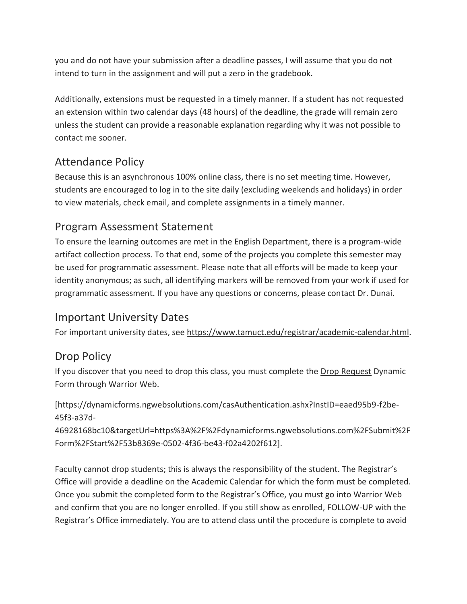you and do not have your submission after a deadline passes, I will assume that you do not intend to turn in the assignment and will put a zero in the gradebook.

Additionally, extensions must be requested in a timely manner. If a student has not requested an extension within two calendar days (48 hours) of the deadline, the grade will remain zero unless the student can provide a reasonable explanation regarding why it was not possible to contact me sooner.

## Attendance Policy

Because this is an asynchronous 100% online class, there is no set meeting time. However, students are encouraged to log in to the site daily (excluding weekends and holidays) in order to view materials, check email, and complete assignments in a timely manner.

### Program Assessment Statement

To ensure the learning outcomes are met in the English Department, there is a program-wide artifact collection process. To that end, some of the projects you complete this semester may be used for programmatic assessment. Please note that all efforts will be made to keep your identity anonymous; as such, all identifying markers will be removed from your work if used for programmatic assessment. If you have any questions or concerns, please contact Dr. Dunai.

### Important University Dates

For important university dates, see [https://www.tamuct.edu/registrar/academic-calendar.html.](https://www.tamuct.edu/registrar/academic-calendar.html)

### Drop Policy

If you discover that you need to drop this class, you must complete the [Drop Request](https://dynamicforms.ngwebsolutions.com/casAuthentication.ashx?InstID=eaed95b9-f2be-45f3-a37d-46928168bc10&targetUrl=https%3A%2F%2Fdynamicforms.ngwebsolutions.com%2FSubmit%2FForm%2FStart%2F53b8369e-0502-4f36-be43-f02a4202f612) Dynamic Form through Warrior Web.

[https://dynamicforms.ngwebsolutions.com/casAuthentication.ashx?InstID=eaed95b9-f2be-45f3-a37d-

46928168bc10&targetUrl=https%3A%2F%2Fdynamicforms.ngwebsolutions.com%2FSubmit%2F Form%2FStart%2F53b8369e-0502-4f36-be43-f02a4202f612].

Faculty cannot drop students; this is always the responsibility of the student. The Registrar's Office will provide a deadline on the Academic Calendar for which the form must be completed. Once you submit the completed form to the Registrar's Office, you must go into Warrior Web and confirm that you are no longer enrolled. If you still show as enrolled, FOLLOW-UP with the Registrar's Office immediately. You are to attend class until the procedure is complete to avoid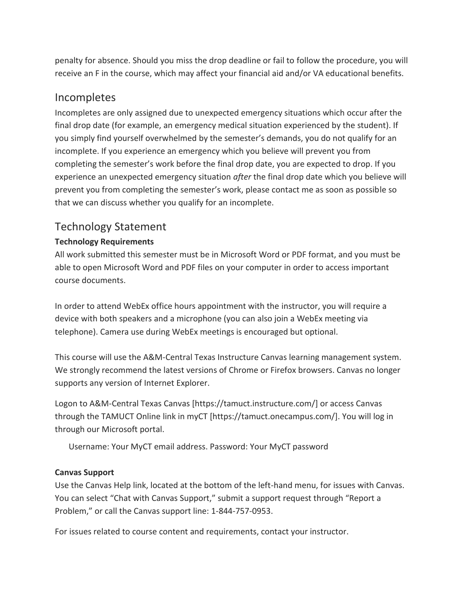penalty for absence. Should you miss the drop deadline or fail to follow the procedure, you will receive an F in the course, which may affect your financial aid and/or VA educational benefits.

#### Incompletes

Incompletes are only assigned due to unexpected emergency situations which occur after the final drop date (for example, an emergency medical situation experienced by the student). If you simply find yourself overwhelmed by the semester's demands, you do not qualify for an incomplete. If you experience an emergency which you believe will prevent you from completing the semester's work before the final drop date, you are expected to drop. If you experience an unexpected emergency situation *after* the final drop date which you believe will prevent you from completing the semester's work, please contact me as soon as possible so that we can discuss whether you qualify for an incomplete.

#### Technology Statement

#### **Technology Requirements**

All work submitted this semester must be in Microsoft Word or PDF format, and you must be able to open Microsoft Word and PDF files on your computer in order to access important course documents.

In order to attend WebEx office hours appointment with the instructor, you will require a device with both speakers and a microphone (you can also join a WebEx meeting via telephone). Camera use during WebEx meetings is encouraged but optional.

This course will use the A&M-Central Texas Instructure Canvas learning management system. We strongly recommend the latest versions of Chrome or Firefox browsers. Canvas no longer supports any version of Internet Explorer.

Logon to A&M-Central Texas Canvas [https://tamuct.instructure.com/] or access Canvas through the TAMUCT Online link in myCT [https://tamuct.onecampus.com/]. You will log in through our Microsoft portal.

Username: Your MyCT email address. Password: Your MyCT password

#### **Canvas Support**

Use the Canvas Help link, located at the bottom of the left-hand menu, for issues with Canvas. You can select "Chat with Canvas Support," submit a support request through "Report a Problem," or call the Canvas support line: 1-844-757-0953.

For issues related to course content and requirements, contact your instructor.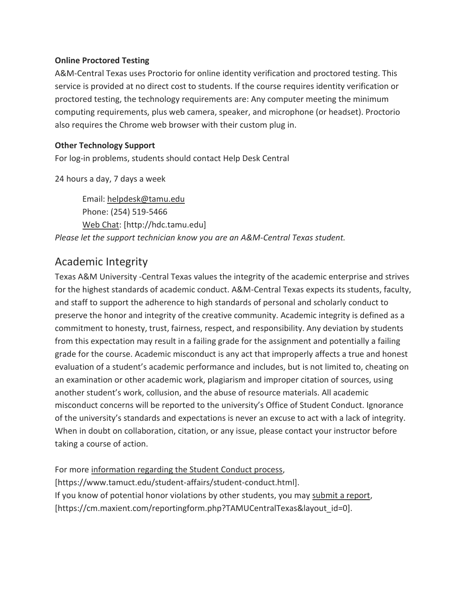#### **Online Proctored Testing**

A&M-Central Texas uses Proctorio for online identity verification and proctored testing. This service is provided at no direct cost to students. If the course requires identity verification or proctored testing, the technology requirements are: Any computer meeting the minimum computing requirements, plus web camera, speaker, and microphone (or headset). Proctorio also requires the Chrome web browser with their custom plug in.

#### **Other Technology Support**

For log-in problems, students should contact Help Desk Central

24 hours a day, 7 days a week

Email: [helpdesk@tamu.edu](mailto:helpdesk@tamu.edu) Phone: (254) 519-5466 [Web Chat:](http://hdc.tamu.edu/) [http://hdc.tamu.edu] *Please let the support technician know you are an A&M-Central Texas student.*

### Academic Integrity

Texas A&M University -Central Texas values the integrity of the academic enterprise and strives for the highest standards of academic conduct. A&M-Central Texas expects its students, faculty, and staff to support the adherence to high standards of personal and scholarly conduct to preserve the honor and integrity of the creative community. Academic integrity is defined as a commitment to honesty, trust, fairness, respect, and responsibility. Any deviation by students from this expectation may result in a failing grade for the assignment and potentially a failing grade for the course. Academic misconduct is any act that improperly affects a true and honest evaluation of a student's academic performance and includes, but is not limited to, cheating on an examination or other academic work, plagiarism and improper citation of sources, using another student's work, collusion, and the abuse of resource materials. All academic misconduct concerns will be reported to the university's Office of Student Conduct. Ignorance of the university's standards and expectations is never an excuse to act with a lack of integrity. When in doubt on collaboration, citation, or any issue, please contact your instructor before taking a course of action.

For more [information regarding the Student Conduct process,](https://www.tamuct.edu/student-affairs/student-conduct.html) [https://www.tamuct.edu/student-affairs/student-conduct.html]. If you know of potential honor violations by other students, you may [submit a report,](https://cm.maxient.com/reportingform.php?TAMUCentralTexas&layout_id=0) [https://cm.maxient.com/reportingform.php?TAMUCentralTexas&layout\_id=0].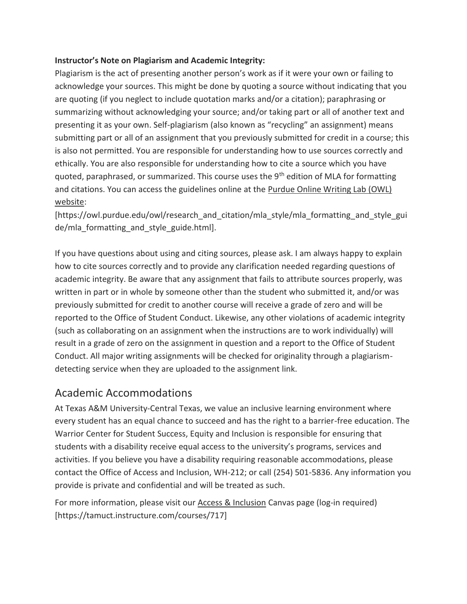#### **Instructor's Note on Plagiarism and Academic Integrity:**

Plagiarism is the act of presenting another person's work as if it were your own or failing to acknowledge your sources. This might be done by quoting a source without indicating that you are quoting (if you neglect to include quotation marks and/or a citation); paraphrasing or summarizing without acknowledging your source; and/or taking part or all of another text and presenting it as your own. Self-plagiarism (also known as "recycling" an assignment) means submitting part or all of an assignment that you previously submitted for credit in a course; this is also not permitted. You are responsible for understanding how to use sources correctly and ethically. You are also responsible for understanding how to cite a source which you have quoted, paraphrased, or summarized. This course uses the  $9<sup>th</sup>$  edition of MLA for formatting and citations. You can access the guidelines online at the [Purdue Online Writing Lab \(OWL\)](https://owl.purdue.edu/owl/research_and_citation/mla_style/mla_formatting_and_style_guide/mla_formatting_and_style_guide.html)  [website:](https://owl.purdue.edu/owl/research_and_citation/mla_style/mla_formatting_and_style_guide/mla_formatting_and_style_guide.html)

[https://owl.purdue.edu/owl/research\_and\_citation/mla\_style/mla\_formatting\_and\_style\_gui de/mla formatting and style guide.html].

If you have questions about using and citing sources, please ask. I am always happy to explain how to cite sources correctly and to provide any clarification needed regarding questions of academic integrity. Be aware that any assignment that fails to attribute sources properly, was written in part or in whole by someone other than the student who submitted it, and/or was previously submitted for credit to another course will receive a grade of zero and will be reported to the Office of Student Conduct. Likewise, any other violations of academic integrity (such as collaborating on an assignment when the instructions are to work individually) will result in a grade of zero on the assignment in question and a report to the Office of Student Conduct. All major writing assignments will be checked for originality through a plagiarismdetecting service when they are uploaded to the assignment link.

#### Academic Accommodations

At Texas A&M University-Central Texas, we value an inclusive learning environment where every student has an equal chance to succeed and has the right to a barrier-free education. The Warrior Center for Student Success, Equity and Inclusion is responsible for ensuring that students with a disability receive equal access to the university's programs, services and activities. If you believe you have a disability requiring reasonable accommodations, please contact the Office of Access and Inclusion, WH-212; or call (254) 501-5836. Any information you provide is private and confidential and will be treated as such.

For more information, please visit our **Access & Inclusion Canvas page (log-in required)** [https://tamuct.instructure.com/courses/717]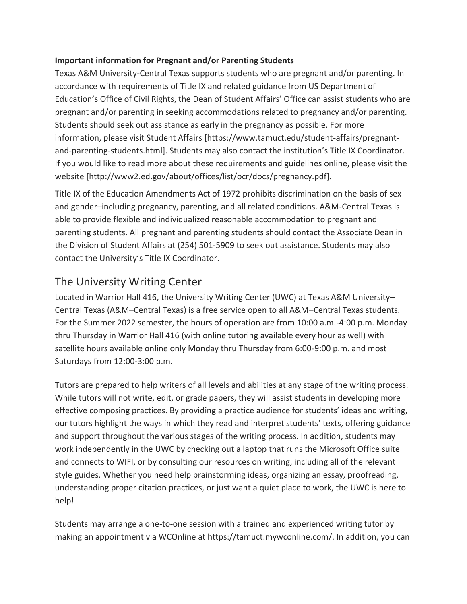#### **Important information for Pregnant and/or Parenting Students**

Texas A&M University-Central Texas supports students who are pregnant and/or parenting. In accordance with requirements of Title IX and related guidance from US Department of Education's Office of Civil Rights, the Dean of Student Affairs' Office can assist students who are pregnant and/or parenting in seeking accommodations related to pregnancy and/or parenting. Students should seek out assistance as early in the pregnancy as possible. For more information, please visit [Student Affairs](https://www.tamuct.edu/student-affairs/pregnant-and-parenting-students.html) [https://www.tamuct.edu/student-affairs/pregnantand-parenting-students.html]. Students may also contact the institution's Title IX Coordinator. If you would like to read more about thes[e requirements and guidelines](http://www2.ed.gov/about/offices/list/ocr/docs/pregnancy.pdf) online, please visit the website [http://www2.ed.gov/about/offices/list/ocr/docs/pregnancy.pdf].

Title IX of the Education Amendments Act of 1972 prohibits discrimination on the basis of sex and gender–including pregnancy, parenting, and all related conditions. A&M-Central Texas is able to provide flexible and individualized reasonable accommodation to pregnant and parenting students. All pregnant and parenting students should contact the Associate Dean in the Division of Student Affairs at (254) 501-5909 to seek out assistance. Students may also contact the University's Title IX Coordinator.

### The University Writing Center

Located in Warrior Hall 416, the University Writing Center (UWC) at Texas A&M University– Central Texas (A&M–Central Texas) is a free service open to all A&M–Central Texas students. For the Summer 2022 semester, the hours of operation are from 10:00 a.m.-4:00 p.m. Monday thru Thursday in Warrior Hall 416 (with online tutoring available every hour as well) with satellite hours available online only Monday thru Thursday from 6:00-9:00 p.m. and most Saturdays from 12:00-3:00 p.m.

Tutors are prepared to help writers of all levels and abilities at any stage of the writing process. While tutors will not write, edit, or grade papers, they will assist students in developing more effective composing practices. By providing a practice audience for students' ideas and writing, our tutors highlight the ways in which they read and interpret students' texts, offering guidance and support throughout the various stages of the writing process. In addition, students may work independently in the UWC by checking out a laptop that runs the Microsoft Office suite and connects to WIFI, or by consulting our resources on writing, including all of the relevant style guides. Whether you need help brainstorming ideas, organizing an essay, proofreading, understanding proper citation practices, or just want a quiet place to work, the UWC is here to help!

Students may arrange a one-to-one session with a trained and experienced writing tutor by making an appointment via WCOnline at https://tamuct.mywconline.com/. In addition, you can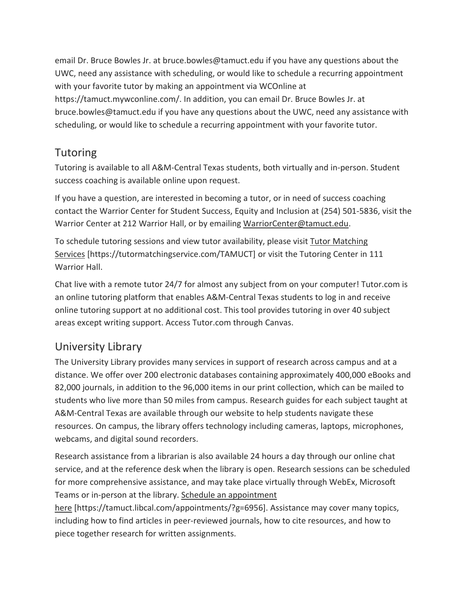email Dr. Bruce Bowles Jr. at bruce.bowles@tamuct.edu if you have any questions about the UWC, need any assistance with scheduling, or would like to schedule a recurring appointment with your favorite tutor by making an appointment via WCOnline at https://tamuct.mywconline.com/. In addition, you can email Dr. Bruce Bowles Jr. at bruce.bowles@tamuct.edu if you have any questions about the UWC, need any assistance with scheduling, or would like to schedule a recurring appointment with your favorite tutor.

### Tutoring

Tutoring is available to all A&M-Central Texas students, both virtually and in-person. Student success coaching is available online upon request.

If you have a question, are interested in becoming a tutor, or in need of success coaching contact the Warrior Center for Student Success, Equity and Inclusion at (254) 501-5836, visit the Warrior Center at 212 Warrior Hall, or by emailing [WarriorCenter@tamuct.edu.](mailto:WarriorCenter@tamuct.edu)

To schedule tutoring sessions and view tutor availability, please visit Tutor [Matching](https://nam04.safelinks.protection.outlook.com/?url=http%3A%2F%2Fwww.tutormatchingservices.com%2FTAMUCT&data=04%7C01%7Clisa.bunkowski%40tamuct.edu%7C886784139069461670c308d9aa01f55e%7C9eed4e3000f744849ff193ad8005acec%7C0%7C0%7C637727747643427346%7CUnknown%7CTWFpbGZsb3d8eyJWIjoiMC4wLjAwMDAiLCJQIjoiV2luMzIiLCJBTiI6Ik1haWwiLCJXVCI6Mn0%3D%7C3000&sdata=D%2F8HN2bUT1lLPfs5qSqKYlwh8a7pZVy7isM2gppluQE%3D&reserved=0) [Services](https://nam04.safelinks.protection.outlook.com/?url=http%3A%2F%2Fwww.tutormatchingservices.com%2FTAMUCT&data=04%7C01%7Clisa.bunkowski%40tamuct.edu%7C886784139069461670c308d9aa01f55e%7C9eed4e3000f744849ff193ad8005acec%7C0%7C0%7C637727747643427346%7CUnknown%7CTWFpbGZsb3d8eyJWIjoiMC4wLjAwMDAiLCJQIjoiV2luMzIiLCJBTiI6Ik1haWwiLCJXVCI6Mn0%3D%7C3000&sdata=D%2F8HN2bUT1lLPfs5qSqKYlwh8a7pZVy7isM2gppluQE%3D&reserved=0) [https://tutormatchingservice.com/TAMUCT] or visit the Tutoring Center in 111 Warrior Hall.

Chat live with a remote tutor 24/7 for almost any subject from on your computer! Tutor.com is an online tutoring platform that enables A&M-Central Texas students to log in and receive online tutoring support at no additional cost. This tool provides tutoring in over 40 subject areas except writing support. Access Tutor.com through Canvas.

### University Library

The University Library provides many services in support of research across campus and at a distance. We offer over 200 electronic databases containing approximately 400,000 eBooks and 82,000 journals, in addition to the 96,000 items in our print collection, which can be mailed to students who live more than 50 miles from campus. Research guides for each subject taught at A&M-Central Texas are available through our website to help students navigate these resources. On campus, the library offers technology including cameras, laptops, microphones, webcams, and digital sound recorders.

Research assistance from a librarian is also available 24 hours a day through our online chat service, and at the reference desk when the library is open. Research sessions can be scheduled for more comprehensive assistance, and may take place virtually through WebEx, Microsoft Teams or in-person at the library. Schedule an [appointment](https://nam04.safelinks.protection.outlook.com/?url=https%3A%2F%2Ftamuct.libcal.com%2Fappointments%2F%3Fg%3D6956&data=04%7C01%7Clisa.bunkowski%40tamuct.edu%7Cde2c07d9f5804f09518008d9ab7ba6ff%7C9eed4e3000f744849ff193ad8005acec%7C0%7C0%7C637729369835011558%7CUnknown%7CTWFpbGZsb3d8eyJWIjoiMC4wLjAwMDAiLCJQIjoiV2luMzIiLCJBTiI6Ik1haWwiLCJXVCI6Mn0%3D%7C3000&sdata=KhtjgRSAw9aq%2FoBsB6wyu8b7PSuGN5EGPypzr3Ty2No%3D&reserved=0)

[here](https://nam04.safelinks.protection.outlook.com/?url=https%3A%2F%2Ftamuct.libcal.com%2Fappointments%2F%3Fg%3D6956&data=04%7C01%7Clisa.bunkowski%40tamuct.edu%7Cde2c07d9f5804f09518008d9ab7ba6ff%7C9eed4e3000f744849ff193ad8005acec%7C0%7C0%7C637729369835011558%7CUnknown%7CTWFpbGZsb3d8eyJWIjoiMC4wLjAwMDAiLCJQIjoiV2luMzIiLCJBTiI6Ik1haWwiLCJXVCI6Mn0%3D%7C3000&sdata=KhtjgRSAw9aq%2FoBsB6wyu8b7PSuGN5EGPypzr3Ty2No%3D&reserved=0) [https://tamuct.libcal.com/appointments/?g=6956]. Assistance may cover many topics, including how to find articles in peer-reviewed journals, how to cite resources, and how to piece together research for written assignments.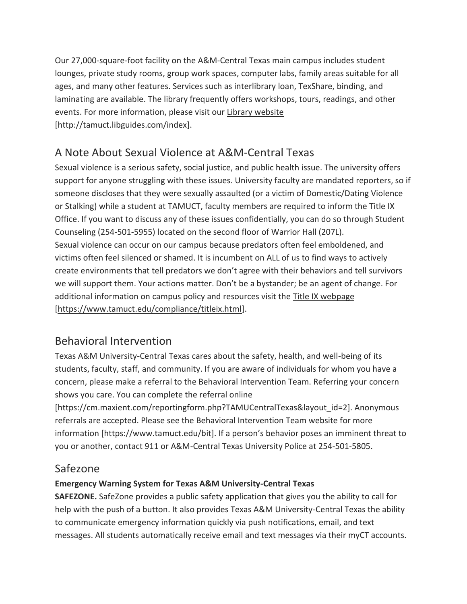Our 27,000-square-foot facility on the A&M-Central Texas main campus includes student lounges, private study rooms, group work spaces, computer labs, family areas suitable for all ages, and many other features. Services such as interlibrary loan, TexShare, binding, and laminating are available. The library frequently offers workshops, tours, readings, and other events. For more information, please visit our Library [website](https://nam04.safelinks.protection.outlook.com/?url=https%3A%2F%2Ftamuct.libguides.com%2Findex&data=04%7C01%7Clisa.bunkowski%40tamuct.edu%7C7d8489e8839a4915335f08d916f067f2%7C9eed4e3000f744849ff193ad8005acec%7C0%7C0%7C637566044056484222%7CUnknown%7CTWFpbGZsb3d8eyJWIjoiMC4wLjAwMDAiLCJQIjoiV2luMzIiLCJBTiI6Ik1haWwiLCJXVCI6Mn0%3D%7C1000&sdata=2R755V6rcIyedGrd4Os5rkgn1PvhHKU3kUV1vBKiHFo%3D&reserved=0) [http://tamuct.libguides.com/index].

### A Note About Sexual Violence at A&M-Central Texas

Sexual violence is a serious safety, social justice, and public health issue. The university offers support for anyone struggling with these issues. University faculty are mandated reporters, so if someone discloses that they were sexually assaulted (or a victim of Domestic/Dating Violence or Stalking) while a student at TAMUCT, faculty members are required to inform the Title IX Office. If you want to discuss any of these issues confidentially, you can do so through Student Counseling (254-501-5955) located on the second floor of Warrior Hall (207L). Sexual violence can occur on our campus because predators often feel emboldened, and victims often feel silenced or shamed. It is incumbent on ALL of us to find ways to actively create environments that tell predators we don't agree with their behaviors and tell survivors we will support them. Your actions matter. Don't be a bystander; be an agent of change. For additional information on campus policy and resources visit the **Title IX webpage** [\[https://www.tamuct.edu/compliance/titleix.html\]](https://www.tamuct.edu/compliance/titleix.html).

### Behavioral Intervention

Texas A&M University-Central Texas cares about the safety, health, and well-being of its students, faculty, staff, and community. If you are aware of individuals for whom you have a concern, please make a referral to the Behavioral Intervention Team. Referring your concern shows you care. You can complete the referral online

[https://cm.maxient.com/reportingform.php?TAMUCentralTexas&layout\_id=2]. Anonymous referrals are accepted. Please see the Behavioral Intervention Team website for more information [https://www.tamuct.edu/bit]. If a person's behavior poses an imminent threat to you or another, contact 911 or A&M-Central Texas University Police at 254-501-5805.

### Safezone

#### **Emergency Warning System for Texas A&M University-Central Texas**

**SAFEZONE.** SafeZone provides a public safety application that gives you the ability to call for help with the push of a button. It also provides Texas A&M University-Central Texas the ability to communicate emergency information quickly via push notifications, email, and text messages. All students automatically receive email and text messages via their myCT accounts.